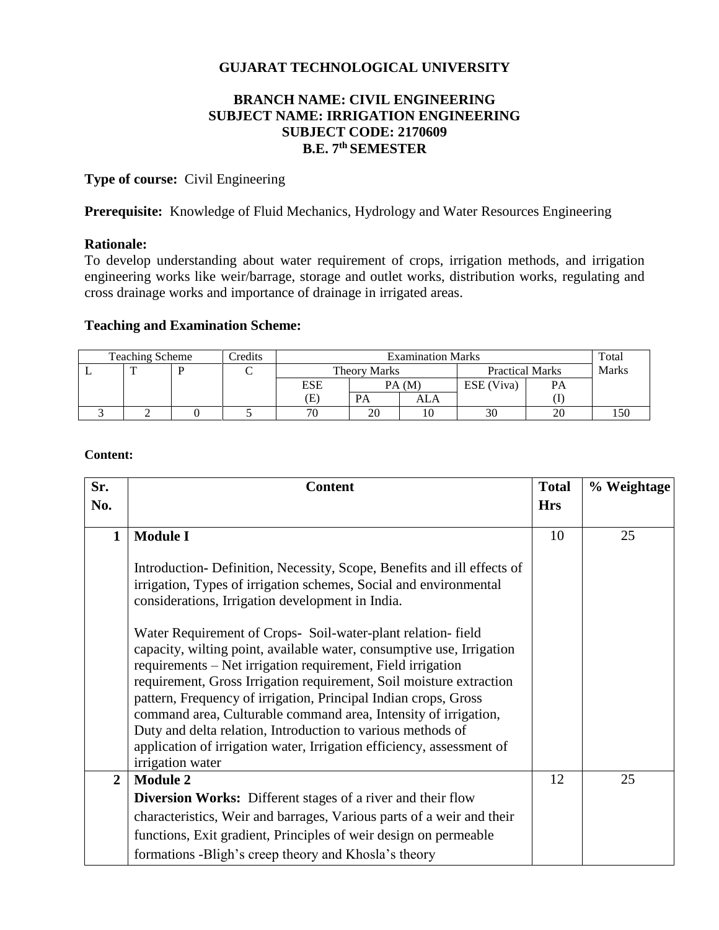# **GUJARAT TECHNOLOGICAL UNIVERSITY**

## **BRANCH NAME: CIVIL ENGINEERING SUBJECT NAME: IRRIGATION ENGINEERING SUBJECT CODE: 2170609 B.E. 7th SEMESTER**

**Type of course:** Civil Engineering

Prerequisite: Knowledge of Fluid Mechanics, Hydrology and Water Resources Engineering

## **Rationale:**

To develop understanding about water requirement of crops, irrigation methods, and irrigation engineering works like weir/barrage, storage and outlet works, distribution works, regulating and cross drainage works and importance of drainage in irrigated areas.

## **Teaching and Examination Scheme:**

| Teaching Scheme |  |  | Credits | <b>Examination Marks</b> |                     |     |                        | Total     |              |
|-----------------|--|--|---------|--------------------------|---------------------|-----|------------------------|-----------|--------------|
|                 |  |  |         |                          | <b>Theory Marks</b> |     | <b>Practical Marks</b> |           | <b>Marks</b> |
|                 |  |  |         | <b>ESE</b>               | PA(M)               |     | ESE (Viva)             | <b>PA</b> |              |
|                 |  |  |         | Έ)                       | PА                  | ALA |                        |           |              |
|                 |  |  |         | 70                       | 20                  | 10  | 30                     | 20        | 150          |

**Content:**

| Sr.            | <b>Content</b>                                                                                                                                                                                                                                                                                                                                                                                                                                                                                                                                                               | <b>Total</b> | % Weightage |
|----------------|------------------------------------------------------------------------------------------------------------------------------------------------------------------------------------------------------------------------------------------------------------------------------------------------------------------------------------------------------------------------------------------------------------------------------------------------------------------------------------------------------------------------------------------------------------------------------|--------------|-------------|
| No.            |                                                                                                                                                                                                                                                                                                                                                                                                                                                                                                                                                                              | <b>Hrs</b>   |             |
| $\mathbf{1}$   | <b>Module I</b>                                                                                                                                                                                                                                                                                                                                                                                                                                                                                                                                                              | 10           | 25          |
|                | Introduction - Definition, Necessity, Scope, Benefits and ill effects of<br>irrigation, Types of irrigation schemes, Social and environmental<br>considerations, Irrigation development in India.                                                                                                                                                                                                                                                                                                                                                                            |              |             |
|                | Water Requirement of Crops- Soil-water-plant relation-field<br>capacity, wilting point, available water, consumptive use, Irrigation<br>requirements - Net irrigation requirement, Field irrigation<br>requirement, Gross Irrigation requirement, Soil moisture extraction<br>pattern, Frequency of irrigation, Principal Indian crops, Gross<br>command area, Culturable command area, Intensity of irrigation,<br>Duty and delta relation, Introduction to various methods of<br>application of irrigation water, Irrigation efficiency, assessment of<br>irrigation water |              |             |
| $\overline{2}$ | <b>Module 2</b>                                                                                                                                                                                                                                                                                                                                                                                                                                                                                                                                                              | 12           | 25          |
|                | <b>Diversion Works:</b> Different stages of a river and their flow                                                                                                                                                                                                                                                                                                                                                                                                                                                                                                           |              |             |
|                | characteristics, Weir and barrages, Various parts of a weir and their                                                                                                                                                                                                                                                                                                                                                                                                                                                                                                        |              |             |
|                | functions, Exit gradient, Principles of weir design on permeable                                                                                                                                                                                                                                                                                                                                                                                                                                                                                                             |              |             |
|                | formations -Bligh's creep theory and Khosla's theory                                                                                                                                                                                                                                                                                                                                                                                                                                                                                                                         |              |             |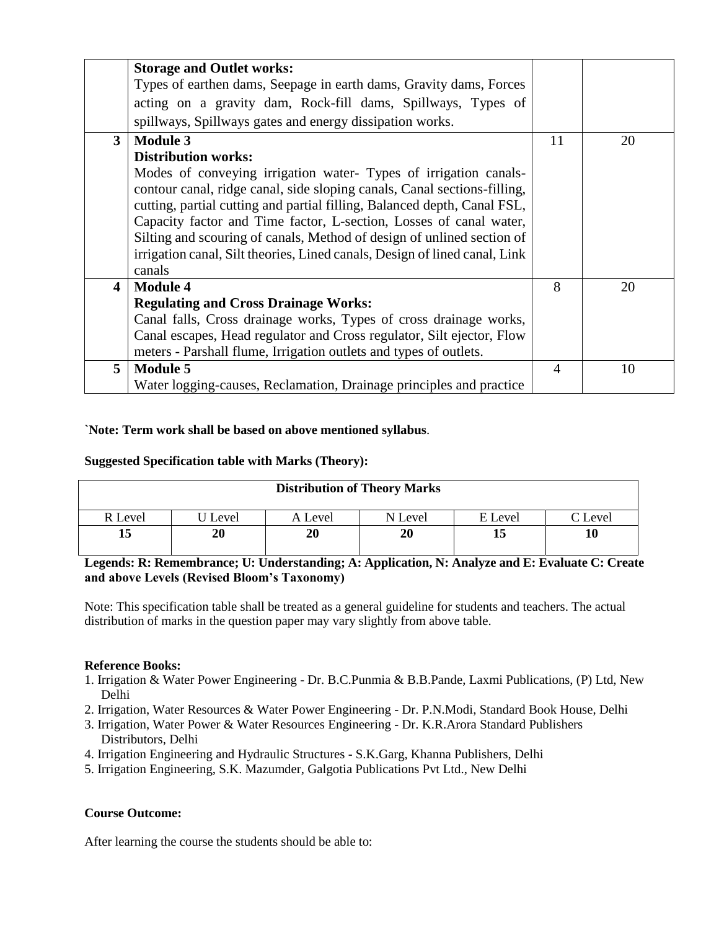|                | <b>Storage and Outlet works:</b>                                           |                |    |
|----------------|----------------------------------------------------------------------------|----------------|----|
|                | Types of earthen dams, Seepage in earth dams, Gravity dams, Forces         |                |    |
|                | acting on a gravity dam, Rock-fill dams, Spillways, Types of               |                |    |
|                | spillways, Spillways gates and energy dissipation works.                   |                |    |
| 3 <sup>1</sup> | <b>Module 3</b>                                                            | 11             | 20 |
|                | <b>Distribution works:</b>                                                 |                |    |
|                | Modes of conveying irrigation water- Types of irrigation canals-           |                |    |
|                | contour canal, ridge canal, side sloping canals, Canal sections-filling,   |                |    |
|                | cutting, partial cutting and partial filling, Balanced depth, Canal FSL,   |                |    |
|                | Capacity factor and Time factor, L-section, Losses of canal water,         |                |    |
|                | Silting and scouring of canals, Method of design of unlined section of     |                |    |
|                | irrigation canal, Silt theories, Lined canals, Design of lined canal, Link |                |    |
|                | canals                                                                     |                |    |
| 4              | <b>Module 4</b>                                                            | 8              | 20 |
|                | <b>Regulating and Cross Drainage Works:</b>                                |                |    |
|                | Canal falls, Cross drainage works, Types of cross drainage works,          |                |    |
|                | Canal escapes, Head regulator and Cross regulator, Silt ejector, Flow      |                |    |
|                | meters - Parshall flume, Irrigation outlets and types of outlets.          |                |    |
| 5              | <b>Module 5</b>                                                            | $\overline{4}$ | 10 |
|                | Water logging-causes, Reclamation, Drainage principles and practice        |                |    |

## **`Note: Term work shall be based on above mentioned syllabus**.

### **Suggested Specification table with Marks (Theory):**

| <b>Distribution of Theory Marks</b> |       |         |         |         |         |  |  |
|-------------------------------------|-------|---------|---------|---------|---------|--|--|
| R Level                             | Level | A Level | N Level | E Level | C Level |  |  |
| 15                                  | 20    | 20      | 20      | 15      | 10      |  |  |

### **Legends: R: Remembrance; U: Understanding; A: Application, N: Analyze and E: Evaluate C: Create and above Levels (Revised Bloom's Taxonomy)**

Note: This specification table shall be treated as a general guideline for students and teachers. The actual distribution of marks in the question paper may vary slightly from above table.

### **Reference Books:**

- 1. Irrigation & Water Power Engineering Dr. B.C.Punmia & B.B.Pande, Laxmi Publications, (P) Ltd, New Delhi
- 2. Irrigation, Water Resources & Water Power Engineering Dr. P.N.Modi, Standard Book House, Delhi
- 3. Irrigation, Water Power & Water Resources Engineering Dr. K.R.Arora Standard Publishers Distributors, Delhi
- 4. Irrigation Engineering and Hydraulic Structures S.K.Garg, Khanna Publishers, Delhi
- 5. Irrigation Engineering, S.K. Mazumder, Galgotia Publications Pvt Ltd., New Delhi

### **Course Outcome:**

After learning the course the students should be able to: